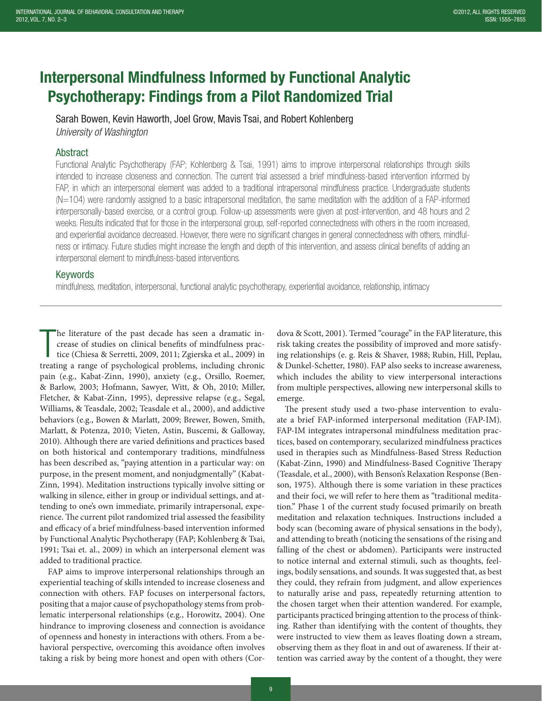# Interpersonal Mindfulness Informed by Functional Analytic Psychotherapy: Findings from a Pilot Randomized Trial

Sarah Bowen, Kevin Haworth, Joel Grow, Mavis Tsai, and Robert Kohlenberg University of Washington

### Abstract

Functional Analytic Psychotherapy (FAP; Kohlenberg & Tsai, 1991) aims to improve interpersonal relationships through skills intended to increase closeness and connection. The current trial assessed a brief mindfulness-based intervention informed by FAP, in which an interpersonal element was added to a traditional intrapersonal mindfulness practice. Undergraduate students (N=104) were randomly assigned to a basic intrapersonal meditation, the same meditation with the addition of a FAP-informed interpersonally-based exercise, or a control group. Follow-up assessments were given at post-intervention, and 48 hours and 2 weeks. Results indicated that for those in the interpersonal group, self-reported connectedness with others in the room increased, and experiential avoidance decreased. However, there were no significant changes in general connectedness with others, mindfulness or intimacy. Future studies might increase the length and depth of this intervention, and assess clinical benefits of adding an interpersonal element to mindfulness-based interventions.

#### Keywords

mindfulness, meditation, interpersonal, functional analytic psychotherapy, experiential avoidance, relationship, intimacy

T he literature of the past decade has seen a dramatic increase of studies on clinical benefits of mindfulness practice (Chiesa & Serretti, 2009, 2011; Zgierska et al., 2009) in treating a range of psychological problems, including chronic pain (e.g., Kabat-Zinn, 1990), anxiety (e.g., Orsillo, Roemer, & Barlow, 2003; Hofmann, Sawyer, Witt, & Oh, 2010; Miller, Fletcher, & Kabat-Zinn, 1995), depressive relapse (e.g., Segal, Williams, & Teasdale, 2002; Teasdale et al., 2000), and addictive behaviors (e.g., Bowen & Marlatt, 2009; Brewer, Bowen, Smith, Marlatt, & Potenza, 2010; Vieten, Astin, Buscemi, & Galloway, 2010). Although there are varied definitions and practices based on both historical and contemporary traditions, mindfulness has been described as, "paying attention in a particular way: on purpose, in the present moment, and nonjudgmentally" (Kabat-Zinn, 1994). Meditation instructions typically involve sitting or walking in silence, either in group or individual settings, and attending to one's own immediate, primarily intrapersonal, experience. The current pilot randomized trial assessed the feasibility and efficacy of a brief mindfulness-based intervention informed by Functional Analytic Psychotherapy (FAP; Kohlenberg & Tsai, 1991; Tsai et. al., 2009) in which an interpersonal element was added to traditional practice.

FAP aims to improve interpersonal relationships through an experiential teaching of skills intended to increase closeness and connection with others. FAP focuses on interpersonal factors, positing that a major cause of psychopathology stems from problematic interpersonal relationships (e.g., Horowitz, 2004). One hindrance to improving closeness and connection is avoidance of openness and honesty in interactions with others. From a behavioral perspective, overcoming this avoidance often involves taking a risk by being more honest and open with others (Cordova & Scott, 2001). Termed "courage" in the FAP literature, this risk taking creates the possibility of improved and more satisfying relationships (e. g. Reis & Shaver, 1988; Rubin, Hill, Peplau, & Dunkel-Schetter, 1980). FAP also seeks to increase awareness, which includes the ability to view interpersonal interactions from multiple perspectives, allowing new interpersonal skills to emerge.

The present study used a two-phase intervention to evaluate a brief FAP-informed interpersonal meditation (FAP-IM). FAP-IM integrates intrapersonal mindfulness meditation practices, based on contemporary, secularized mindfulness practices used in therapies such as Mindfulness-Based Stress Reduction (Kabat-Zinn, 1990) and Mindfulness-Based Cognitive Therapy (Teasdale, et al., 2000), with Benson's Relaxation Response (Benson, 1975). Although there is some variation in these practices and their foci, we will refer to here them as "traditional meditation." Phase 1 of the current study focused primarily on breath meditation and relaxation techniques. Instructions included a body scan (becoming aware of physical sensations in the body), and attending to breath (noticing the sensations of the rising and falling of the chest or abdomen). Participants were instructed to notice internal and external stimuli, such as thoughts, feelings, bodily sensations, and sounds. It was suggested that, as best they could, they refrain from judgment, and allow experiences to naturally arise and pass, repeatedly returning attention to the chosen target when their attention wandered. For example, participants practiced bringing attention to the process of thinking. Rather than identifying with the content of thoughts, they were instructed to view them as leaves floating down a stream, observing them as they float in and out of awareness. If their attention was carried away by the content of a thought, they were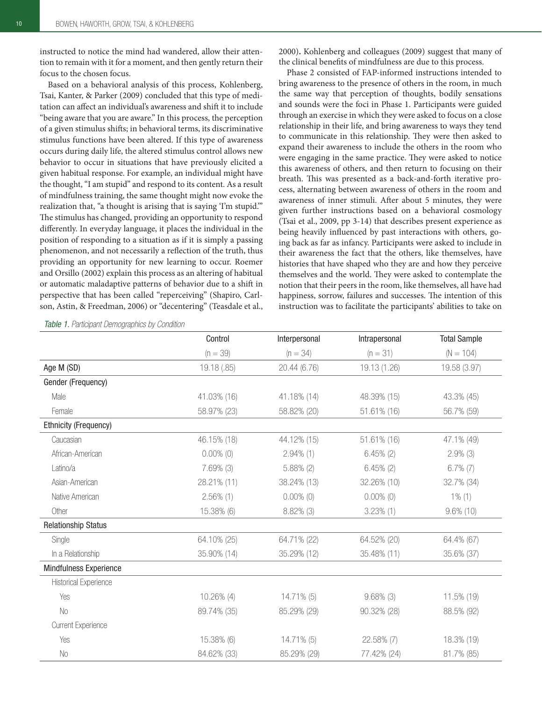instructed to notice the mind had wandered, allow their attention to remain with it for a moment, and then gently return their focus to the chosen focus.

Based on a behavioral analysis of this process, Kohlenberg, Tsai, Kanter, & Parker (2009) concluded that this type of meditation can affect an individual's awareness and shift it to include "being aware that you are aware." In this process, the perception of a given stimulus shifts; in behavioral terms, its discriminative stimulus functions have been altered. If this type of awareness occurs during daily life, the altered stimulus control allows new behavior to occur in situations that have previously elicited a given habitual response. For example, an individual might have the thought, "I am stupid" and respond to its content. As a result of mindfulness training, the same thought might now evoke the realization that, "a thought is arising that is saying 'I'm stupid." The stimulus has changed, providing an opportunity to respond differently. In everyday language, it places the individual in the position of responding to a situation as if it is simply a passing phenomenon, and not necessarily a reflection of the truth, thus providing an opportunity for new learning to occur. Roemer and Orsillo (2002) explain this process as an altering of habitual or automatic maladaptive patterns of behavior due to a shift in perspective that has been called "reperceiving" (Shapiro, Carlson, Astin, & Freedman, 2006) or "decentering" (Teasdale et al.,

2000)**.** Kohlenberg and colleagues (2009) suggest that many of the clinical benefits of mindfulness are due to this process.

Phase 2 consisted of FAP-informed instructions intended to bring awareness to the presence of others in the room, in much the same way that perception of thoughts, bodily sensations and sounds were the foci in Phase 1. Participants were guided through an exercise in which they were asked to focus on a close relationship in their life, and bring awareness to ways they tend to communicate in this relationship. They were then asked to expand their awareness to include the others in the room who were engaging in the same practice. They were asked to notice this awareness of others, and then return to focusing on their breath. This was presented as a back-and-forth iterative process, alternating between awareness of others in the room and awareness of inner stimuli. After about 5 minutes, they were given further instructions based on a behavioral cosmology (Tsai et al., 2009, pp 3-14) that describes present experience as being heavily influenced by past interactions with others, going back as far as infancy. Participants were asked to include in their awareness the fact that the others, like themselves, have histories that have shaped who they are and how they perceive themselves and the world. They were asked to contemplate the notion that their peers in the room, like themselves, all have had happiness, sorrow, failures and successes. The intention of this instruction was to facilitate the participants' abilities to take on

|                              | Control      | Interpersonal | Intrapersonal | <b>Total Sample</b> |
|------------------------------|--------------|---------------|---------------|---------------------|
|                              | $(n = 39)$   | $(n = 34)$    | $(n = 31)$    | $(N = 104)$         |
| Age M (SD)                   | 19.18 (.85)  | 20.44 (6.76)  | 19.13 (1.26)  | 19.58 (3.97)        |
| Gender (Frequency)           |              |               |               |                     |
| Male                         | 41.03% (16)  | 41.18% (14)   | 48.39% (15)   | 43.3% (45)          |
| Female                       | 58.97% (23)  | 58.82% (20)   | 51.61% (16)   | 56.7% (59)          |
| Ethnicity (Frequency)        |              |               |               |                     |
| Caucasian                    | 46.15% (18)  | 44.12% (15)   | 51.61% (16)   | 47.1% (49)          |
| African-American             | $0.00\%$ (0) | $2.94\%$ (1)  | $6.45\%$ (2)  | $2.9\%$ (3)         |
| Latino/a                     | $7.69%$ (3)  | $5.88\%$ (2)  | $6.45\%$ (2)  | $6.7\%$ (7)         |
| Asian-American               | 28.21% (11)  | 38.24% (13)   | 32.26% (10)   | 32.7% (34)          |
| Native American              | $2.56\%$ (1) | $0.00\%$ (0)  | $0.00\%$ (0)  | $1\%$ (1)           |
| Other                        | 15.38% (6)   | $8.82\%$ (3)  | $3.23\%$ (1)  | $9.6\%$ (10)        |
| <b>Relationship Status</b>   |              |               |               |                     |
| Single                       | 64.10% (25)  | 64.71% (22)   | 64.52% (20)   | 64.4% (67)          |
| In a Relationship            | 35.90% (14)  | 35.29% (12)   | 35.48% (11)   | 35.6% (37)          |
| Mindfulness Experience       |              |               |               |                     |
| <b>Historical Experience</b> |              |               |               |                     |
| Yes                          | 10.26% (4)   | 14.71% (5)    | $9.68\%$ (3)  | 11.5% (19)          |
| No                           | 89.74% (35)  | 85.29% (29)   | 90.32% (28)   | 88.5% (92)          |
| <b>Current Experience</b>    |              |               |               |                     |
| Yes                          | 15.38% (6)   | 14.71% (5)    | 22.58% (7)    | 18.3% (19)          |
| No                           | 84.62% (33)  | 85.29% (29)   | 77.42% (24)   | 81.7% (85)          |

Table 1. Participant Demographics by Condition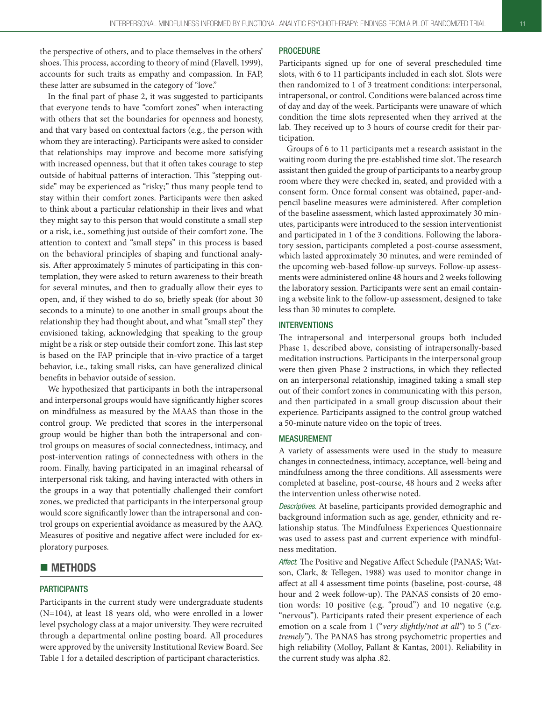the perspective of others, and to place themselves in the others' shoes. This process, according to theory of mind (Flavell, 1999), accounts for such traits as empathy and compassion. In FAP, these latter are subsumed in the category of "love."

In the final part of phase 2, it was suggested to participants that everyone tends to have "comfort zones" when interacting with others that set the boundaries for openness and honesty, and that vary based on contextual factors (e.g., the person with whom they are interacting). Participants were asked to consider that relationships may improve and become more satisfying with increased openness, but that it often takes courage to step outside of habitual patterns of interaction. This "stepping outside" may be experienced as "risky;" thus many people tend to stay within their comfort zones. Participants were then asked to think about a particular relationship in their lives and what they might say to this person that would constitute a small step or a risk, i.e., something just outside of their comfort zone. The attention to context and "small steps" in this process is based on the behavioral principles of shaping and functional analysis. After approximately 5 minutes of participating in this contemplation, they were asked to return awareness to their breath for several minutes, and then to gradually allow their eyes to open, and, if they wished to do so, briefly speak (for about 30 seconds to a minute) to one another in small groups about the relationship they had thought about, and what "small step" they envisioned taking, acknowledging that speaking to the group might be a risk or step outside their comfort zone. This last step is based on the FAP principle that in-vivo practice of a target behavior, i.e., taking small risks, can have generalized clinical benefits in behavior outside of session.

We hypothesized that participants in both the intrapersonal and interpersonal groups would have significantly higher scores on mindfulness as measured by the MAAS than those in the control group. We predicted that scores in the interpersonal group would be higher than both the intrapersonal and control groups on measures of social connectedness, intimacy, and post-intervention ratings of connectedness with others in the room. Finally, having participated in an imaginal rehearsal of interpersonal risk taking, and having interacted with others in the groups in a way that potentially challenged their comfort zones, we predicted that participants in the interpersonal group would score significantly lower than the intrapersonal and control groups on experiential avoidance as measured by the AAQ. Measures of positive and negative affect were included for exploratory purposes.

# **E** METHODS

#### **PARTICIPANTS**

Participants in the current study were undergraduate students (N=104), at least 18 years old, who were enrolled in a lower level psychology class at a major university. They were recruited through a departmental online posting board. All procedures were approved by the university Institutional Review Board. See Table 1 for a detailed description of participant characteristics.

#### **PROCEDURE**

Participants signed up for one of several prescheduled time slots, with 6 to 11 participants included in each slot. Slots were then randomized to 1 of 3 treatment conditions: interpersonal, intrapersonal, or control. Conditions were balanced across time of day and day of the week. Participants were unaware of which condition the time slots represented when they arrived at the lab. They received up to 3 hours of course credit for their participation.

Groups of 6 to 11 participants met a research assistant in the waiting room during the pre-established time slot. The research assistant then guided the group of participants to a nearby group room where they were checked in, seated, and provided with a consent form. Once formal consent was obtained, paper-andpencil baseline measures were administered. After completion of the baseline assessment, which lasted approximately 30 minutes, participants were introduced to the session interventionist and participated in 1 of the 3 conditions. Following the laboratory session, participants completed a post-course assessment, which lasted approximately 30 minutes, and were reminded of the upcoming web-based follow-up surveys. Follow-up assessments were administered online 48 hours and 2 weeks following the laboratory session. Participants were sent an email containing a website link to the follow-up assessment, designed to take less than 30 minutes to complete.

### **INTERVENTIONS**

The intrapersonal and interpersonal groups both included Phase 1, described above, consisting of intrapersonally-based meditation instructions. Participants in the interpersonal group were then given Phase 2 instructions, in which they reflected on an interpersonal relationship, imagined taking a small step out of their comfort zones in communicating with this person, and then participated in a small group discussion about their experience. Participants assigned to the control group watched a 50-minute nature video on the topic of trees.

### MEASUREMENT

A variety of assessments were used in the study to measure changes in connectedness, intimacy, acceptance, well-being and mindfulness among the three conditions. All assessments were completed at baseline, post-course, 48 hours and 2 weeks after the intervention unless otherwise noted.

Descriptives. At baseline, participants provided demographic and background information such as age, gender, ethnicity and relationship status. The Mindfulness Experiences Questionnaire was used to assess past and current experience with mindfulness meditation.

Affect. The Positive and Negative Affect Schedule (PANAS; Watson, Clark, & Tellegen, 1988) was used to monitor change in affect at all 4 assessment time points (baseline, post-course, 48 hour and 2 week follow-up). The PANAS consists of 20 emotion words: 10 positive (e.g. "proud") and 10 negative (e.g. "nervous"). Participants rated their present experience of each emotion on a scale from 1 ("very slightly/not at all") to 5 ("extremely"). The PANAS has strong psychometric properties and high reliability (Molloy, Pallant & Kantas, 2001). Reliability in the current study was alpha .82.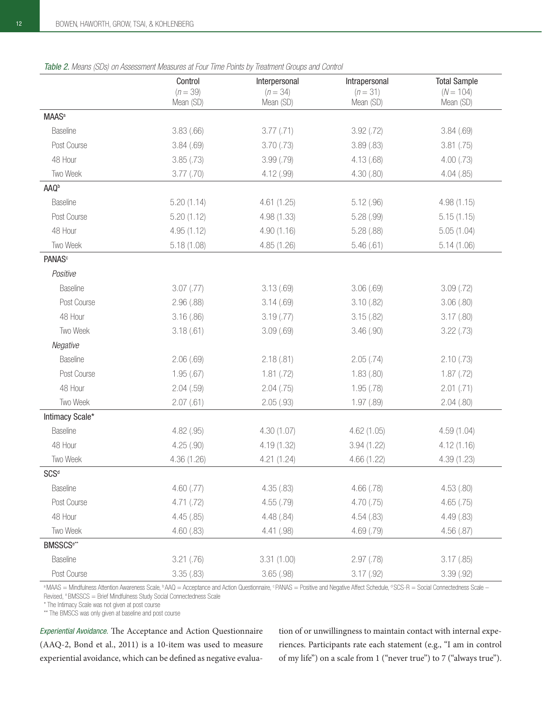|                              | Control<br>$(n = 39)$<br>Mean (SD) | Interpersonal<br>$(n = 34)$<br>Mean (SD) | Intrapersonal<br>$(n = 31)$<br>Mean (SD) | <b>Total Sample</b><br>$(N = 104)$<br>Mean (SD) |
|------------------------------|------------------------------------|------------------------------------------|------------------------------------------|-------------------------------------------------|
| <b>MAAS</b> <sup>a</sup>     |                                    |                                          |                                          |                                                 |
| Baseline                     | 3.83(.66)                          | 3.77(.71)                                | 3.92(.72)                                | 3.84(.69)                                       |
| Post Course                  | 3.84(.69)                          | 3.70(.73)                                | 3.89(.83)                                | 3.81(.75)                                       |
| 48 Hour                      | 3.85(.73)                          | 3.99(.79)                                | 4.13(.68)                                | 4.00(.73)                                       |
| Two Week                     | 3.77(.70)                          | 4.12 (.99)                               | 4.30(.80)                                | 4.04(.85)                                       |
| AAQ <sup>b</sup>             |                                    |                                          |                                          |                                                 |
| Baseline                     | 5.20(1.14)                         | 4.61(1.25)                               | 5.12(.96)                                | 4.98(1.15)                                      |
| Post Course                  | 5.20(1.12)                         | 4.98 (1.33)                              | 5.28(.99)                                | 5.15(1.15)                                      |
| 48 Hour                      | 4.95(1.12)                         | 4.90(1.16)                               | 5.28(.88)                                | 5.05(1.04)                                      |
| Two Week                     | 5.18(1.08)                         | 4.85 (1.26)                              | 5.46(.61)                                | 5.14(1.06)                                      |
| <b>PANAS</b> <sup>c</sup>    |                                    |                                          |                                          |                                                 |
| Positive                     |                                    |                                          |                                          |                                                 |
| Baseline                     | $3.07$ (.77)                       | 3.13(.69)                                | 3.06(.69)                                | 3.09(.72)                                       |
| Post Course                  | 2.96(.88)                          | 3.14(.69)                                | 3.10(.82)                                | 3.06(.80)                                       |
| 48 Hour                      | 3.16(.86)                          | 3.19(.77)                                | 3.15(.82)                                | 3.17(.80)                                       |
| Two Week                     | 3.18(.61)                          | 3.09(.69)                                | 3.46(.90)                                | $3.22$ (.73)                                    |
| Negative                     |                                    |                                          |                                          |                                                 |
| Baseline                     | 2.06(.69)                          | 2.18(.81)                                | 2.05(.74)                                | 2.10(.73)                                       |
| Post Course                  | 1.95(.67)                          | 1.81(.72)                                | 1.83(.80)                                | 1.87(.72)                                       |
| 48 Hour                      | 2.04(.59)                          | 2.04(.75)                                | 1.95(.78)                                | 2.01(.71)                                       |
| Two Week                     | 2.07(.61)                          | 2.05(.93)                                | 1.97 (.89)                               | 2.04(.80)                                       |
| Intimacy Scale*              |                                    |                                          |                                          |                                                 |
| Baseline                     | 4.82(.95)                          | 4.30(1.07)                               | 4.62(1.05)                               | 4.59(1.04)                                      |
| 48 Hour                      | 4.25(.90)                          | 4.19 (1.32)                              | 3.94(1.22)                               | 4.12(1.16)                                      |
| Two Week                     | 4.36 (1.26)                        | 4.21(1.24)                               | 4.66 (1.22)                              | 4.39 (1.23)                                     |
| SCS <sup>d</sup>             |                                    |                                          |                                          |                                                 |
| Baseline                     | 4.60(.77)                          | 4.35(.83)                                | 4.66 (.78)                               | 4.53(.80)                                       |
| Post Course                  | 4.71 (.72)                         | 4.55 (.79)                               | 4.70(.75)                                | 4.65(.75)                                       |
| 48 Hour                      | 4.45(.85)                          | 4.48 (.84)                               | 4.54(.83)                                | 4.49 (.83)                                      |
| Two Week                     | 4.60(.83)                          | 4.41 (.98)                               | 4.69 (.79)                               | 4.56 (.87)                                      |
| <b>BMSSCS</b> <sup>e**</sup> |                                    |                                          |                                          |                                                 |
| Baseline                     | 3.21(.76)                          | 3.31(1.00)                               | $2.97$ $(.78)$                           | 3.17(.85)                                       |
| Post Course                  | 3.35(.83)                          | 3.65(.98)                                | 3.17(.92)                                | 3.39(.92)                                       |

Table 2. Means (SDs) on Assessment Measures at Four Time Points by Treatment Groups and Control

<sup>a</sup> MAAS = Mindfulness Attention Awareness Scale, <sup>b</sup>AAQ = Acceptance and Action Questionnaire, <sup>c</sup> PANAS = Positive and Negative Affect Schedule, <sup>d</sup> SCS-R = Social Connectedness Scale -Revised, e BMSSCS = Brief Mindfulness Study Social Connectedness Scale

\* The Intimacy Scale was not given at post course

\*\* The BMSCS was only given at baseline and post course

Experiential Avoidance. The Acceptance and Action Questionnaire (AAQ-2, Bond et al., 2011) is a 10-item was used to measure experiential avoidance, which can be defined as negative evaluation of or unwillingness to maintain contact with internal experiences. Participants rate each statement (e.g., "I am in control of my life") on a scale from 1 ("never true") to 7 ("always true").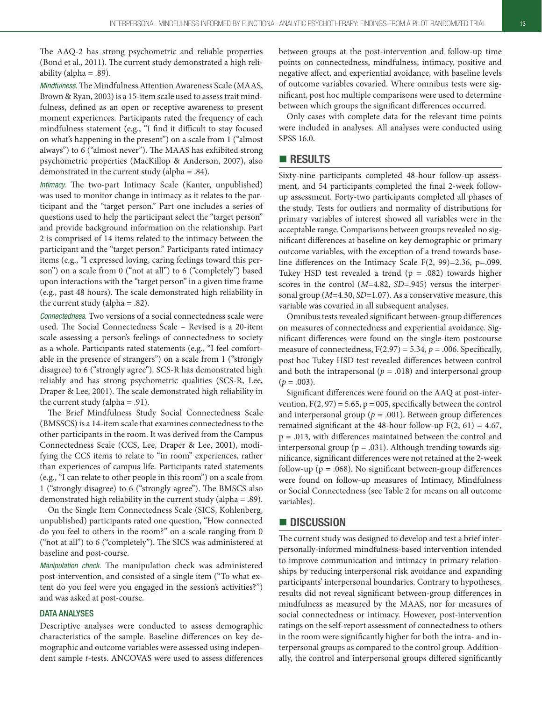The AAQ-2 has strong psychometric and reliable properties (Bond et al., 2011). The current study demonstrated a high reliability (alpha = .89).

Mindfulness. The Mindfulness Attention Awareness Scale (MAAS, Brown & Ryan, 2003) is a 15-item scale used to assess trait mindfulness, defined as an open or receptive awareness to present moment experiences. Participants rated the frequency of each mindfulness statement (e.g., "I find it difficult to stay focused on what's happening in the present") on a scale from 1 ("almost always") to 6 ("almost never"). The MAAS has exhibited strong psychometric properties (MacKillop & Anderson, 2007), also demonstrated in the current study (alpha = .84).

Intimacy. The two-part Intimacy Scale (Kanter, unpublished) was used to monitor change in intimacy as it relates to the participant and the "target person." Part one includes a series of questions used to help the participant select the "target person" and provide background information on the relationship. Part 2 is comprised of 14 items related to the intimacy between the participant and the "target person." Participants rated intimacy items (e.g., "I expressed loving, caring feelings toward this person") on a scale from 0 ("not at all") to 6 ("completely") based upon interactions with the "target person" in a given time frame (e.g., past 48 hours). The scale demonstrated high reliability in the current study (alpha = .82).

Connectedness. Two versions of a social connectedness scale were used. The Social Connectedness Scale – Revised is a 20-item scale assessing a person's feelings of connectedness to society as a whole. Participants rated statements (e.g., "I feel comfortable in the presence of strangers") on a scale from 1 ("strongly disagree) to 6 ("strongly agree"). SCS-R has demonstrated high reliably and has strong psychometric qualities (SCS-R, Lee, Draper & Lee, 2001). The scale demonstrated high reliability in the current study (alpha  $= .91$ ).

The Brief Mindfulness Study Social Connectedness Scale (BMSSCS) is a 14-item scale that examines connectedness to the other participants in the room. It was derived from the Campus Connectedness Scale (CCS, Lee, Draper & Lee, 2001), modifying the CCS items to relate to "in room" experiences, rather than experiences of campus life. Participants rated statements (e.g., "I can relate to other people in this room") on a scale from 1 ("strongly disagree) to 6 ("strongly agree"). The BMSCS also demonstrated high reliability in the current study (alpha = .89).

On the Single Item Connectedness Scale (SICS, Kohlenberg, unpublished) participants rated one question, "How connected do you feel to others in the room?" on a scale ranging from 0 ("not at all") to 6 ("completely"). The SICS was administered at baseline and post-course.

Manipulation check. The manipulation check was administered post-intervention, and consisted of a single item ("To what extent do you feel were you engaged in the session's activities?") and was asked at post-course.

#### DATA ANALYSES

Descriptive analyses were conducted to assess demographic characteristics of the sample. Baseline differences on key demographic and outcome variables were assessed using independent sample t-tests. ANCOVAS were used to assess differences between groups at the post-intervention and follow-up time points on connectedness, mindfulness, intimacy, positive and negative affect, and experiential avoidance, with baseline levels of outcome variables covaried. Where omnibus tests were significant, post hoc multiple comparisons were used to determine between which groups the significant differences occurred.

Only cases with complete data for the relevant time points were included in analyses. All analyses were conducted using SPSS 16.0.

# **RESULTS**

Sixty-nine participants completed 48-hour follow-up assessment, and 54 participants completed the final 2-week followup assessment. Forty-two participants completed all phases of the study. Tests for outliers and normality of distributions for primary variables of interest showed all variables were in the acceptable range. Comparisons between groups revealed no significant differences at baseline on key demographic or primary outcome variables, with the exception of a trend towards baseline differences on the Intimacy Scale F(2, 99)=2.36, p=.099. Tukey HSD test revealed a trend  $(p = .082)$  towards higher scores in the control ( $M=4.82$ ,  $SD=.945$ ) versus the interpersonal group ( $M=4.30$ ,  $SD=1.07$ ). As a conservative measure, this variable was covaried in all subsequent analyses.

Omnibus tests revealed significant between-group differences on measures of connectedness and experiential avoidance. Significant differences were found on the single-item postcourse measure of connectedness,  $F(2.97) = 5.34$ ,  $p = .006$ . Specifically, post hoc Tukey HSD test revealed differences between control and both the intrapersonal ( $p = .018$ ) and interpersonal group  $(p=.003).$ 

Significant differences were found on the AAQ at post-intervention,  $F(2, 97) = 5.65$ ,  $p = 005$ , specifically between the control and interpersonal group ( $p = .001$ ). Between group differences remained significant at the 48-hour follow-up  $F(2, 61) = 4.67$ , p = .013, with differences maintained between the control and interpersonal group ( $p = .031$ ). Although trending towards significance, significant differences were not retained at the 2-week follow-up ( $p = .068$ ). No significant between-group differences were found on follow-up measures of Intimacy, Mindfulness or Social Connectedness (see Table 2 for means on all outcome variables).

# **DISCUSSION**

The current study was designed to develop and test a brief interpersonally-informed mindfulness-based intervention intended to improve communication and intimacy in primary relationships by reducing interpersonal risk avoidance and expanding participants' interpersonal boundaries. Contrary to hypotheses, results did not reveal significant between-group differences in mindfulness as measured by the MAAS, nor for measures of social connectedness or intimacy. However, post-intervention ratings on the self-report assessment of connectedness to others in the room were significantly higher for both the intra- and interpersonal groups as compared to the control group. Additionally, the control and interpersonal groups differed significantly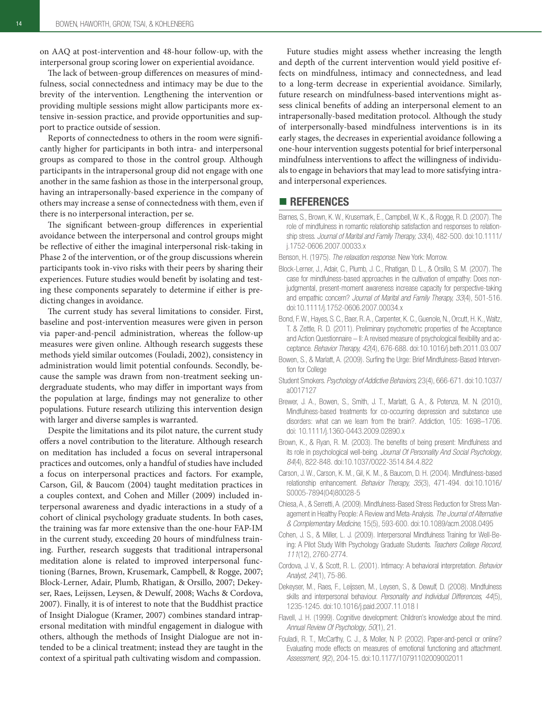on AAQ at post-intervention and 48-hour follow-up, with the interpersonal group scoring lower on experiential avoidance.

The lack of between-group differences on measures of mindfulness, social connectedness and intimacy may be due to the brevity of the intervention. Lengthening the intervention or providing multiple sessions might allow participants more extensive in-session practice, and provide opportunities and support to practice outside of session.

Reports of connectedness to others in the room were significantly higher for participants in both intra- and interpersonal groups as compared to those in the control group. Although participants in the intrapersonal group did not engage with one another in the same fashion as those in the interpersonal group, having an intrapersonally-based experience in the company of others may increase a sense of connectedness with them, even if there is no interpersonal interaction, per se.

The significant between-group differences in experiential avoidance between the interpersonal and control groups might be reflective of either the imaginal interpersonal risk-taking in Phase 2 of the intervention, or of the group discussions wherein participants took in-vivo risks with their peers by sharing their experiences. Future studies would benefit by isolating and testing these components separately to determine if either is predicting changes in avoidance.

The current study has several limitations to consider. First, baseline and post-intervention measures were given in person via paper-and-pencil administration, whereas the follow-up measures were given online. Although research suggests these methods yield similar outcomes (Fouladi, 2002), consistency in administration would limit potential confounds. Secondly, because the sample was drawn from non-treatment seeking undergraduate students, who may differ in important ways from the population at large, findings may not generalize to other populations. Future research utilizing this intervention design with larger and diverse samples is warranted.

Despite the limitations and its pilot nature, the current study offers a novel contribution to the literature. Although research on meditation has included a focus on several intrapersonal practices and outcomes, only a handful of studies have included a focus on interpersonal practices and factors. For example, Carson, Gil, & Baucom (2004) taught meditation practices in a couples context, and Cohen and Miller (2009) included interpersonal awareness and dyadic interactions in a study of a cohort of clinical psychology graduate students. In both cases, the training was far more extensive than the one-hour FAP-IM in the current study, exceeding 20 hours of mindfulness training. Further, research suggests that traditional intrapersonal meditation alone is related to improved interpersonal functioning (Barnes, Brown, Krusemark, Campbell, & Rogge, 2007; Block-Lerner, Adair, Plumb, Rhatigan, & Orsillo, 2007; Dekeyser, Raes, Leijssen, Leysen, & Dewulf, 2008; Wachs & Cordova, 2007). Finally, it is of interest to note that the Buddhist practice of Insight Dialogue (Kramer, 2007) combines standard intrapersonal meditation with mindful engagement in dialogue with others, although the methods of Insight Dialogue are not intended to be a clinical treatment; instead they are taught in the context of a spiritual path cultivating wisdom and compassion.

Future studies might assess whether increasing the length and depth of the current intervention would yield positive effects on mindfulness, intimacy and connectedness, and lead to a long-term decrease in experiential avoidance. Similarly, future research on mindfulness-based interventions might assess clinical benefits of adding an interpersonal element to an intrapersonally-based meditation protocol. Although the study of interpersonally-based mindfulness interventions is in its early stages, the decreases in experiential avoidance following a one-hour intervention suggests potential for brief interpersonal mindfulness interventions to affect the willingness of individuals to engage in behaviors that may lead to more satisfying intraand interpersonal experiences.

# **E** REFERENCES

- Barnes, S., Brown, K. W., Krusemark, E., Campbell, W. K., & Rogge, R. D. (2007). The role of mindfulness in romantic relationship satisfaction and responses to relationship stress. Journal of Marital and Family Therapy, 33(4), 482-500. doi:10.1111/ j.1752-0606.2007.00033.x
- Benson, H. (1975). The relaxation response. New York: Morrow.
- Block-Lerner, J., Adair, C., Plumb, J. C., Rhatigan, D. L., & Orsillo, S. M. (2007). The case for mindfulness-based approaches in the cultivation of empathy: Does nonjudgmental, present-moment awareness increase capacity for perspective-taking and empathic concern? Journal of Marital and Family Therapy, 33(4), 501-516. doi:10.1111/j.1752-0606.2007.00034.x
- Bond, F. W., Hayes, S. C., Baer, R. A., Carpenter, K. C., Guenole, N., Orcutt, H. K., Waltz, T. & Zettle, R. D. (2011). Preliminary psychometric properties of the Acceptance and Action Questionnaire - II: A revised measure of psychological flexibility and acj ceptance. Behavior Therapy, 42(4), 676-688. doi:10.1016/j.beth.2011.03.007
- Bowen, S., & Marlatt, A. (2009). Surfing the Urge: Brief Mindfulness-Based Intervention for College
- Student Smokers. Psychology of Addictive Behaviors, 23(4), 666-671. doi:10.1037/ a0017127
- Brewer, J. A., Bowen, S., Smith, J. T., Marlatt, G. A., & Potenza, M. N. (2010), Mindfulness-based treatments for co-occurring depression and substance use disorders: what can we learn from the brain?. Addiction, 105: 1698-1706. i doi: 10.1111/j.1360-0443.2009.02890.x
- Brown, K., & Ryan, R. M. (2003). The benefits of being present: Mindfulness and its role in psychological well-being. Journal Of Personality And Social Psychology, 84(4), 822-848. doi:10.1037/0022-3514.84.4.822
- Carson, J. W., Carson, K. M., Gil, K. M., & Baucom, D. H. (2004). Mindfulness-based relationship enhancement. Behavior Therapy, 35(3), 471-494. doi:10.1016/ S0005-7894(04)80028-5
- Chiesa, A., & Serretti, A. (2009). Mindfulness-Based Stress Reduction for Stress Management in Healthy People: A Review and Meta-Analysis. The Journal of Alternative & Complementary Medicine, 15(5), 593-600. doi:10.1089/acm.2008.0495
- Cohen, J. S., & Miller, L. J. (2009). Interpersonal Mindfulness Training for Well-Being: A Pilot Study With Psychology Graduate Students. Teachers College Record, 111(12), 2760-2774.
- Cordova, J. V., & Scott, R. L. (2001). Intimacy: A behavioral interpretation. Behavior Analyst, 24(1), 75-86.
- Dekeyser, M., Raes, F., Leijssen, M., Leysen, S., & Dewulf, D. (2008). Mindfulness skills and interpersonal behaviour. Personality and Individual Differences, 44(5), 1235-1245. doi:10.1016/j.paid.2007.11.018 | İ
- Flavell, J. H. (1999). Cognitive development: Children's knowledge about the mind. Annual Review Of Psychology, 50(1), 21.
- Fouladi, R. T., McCarthy, C. J., & Moller, N. P. (2002). Paper-and-pencil or online? Evaluating mode effects on measures of emotional functioning and attachment. Assessment, 9(2), 204-15. doi:10.1177/10791102009002011